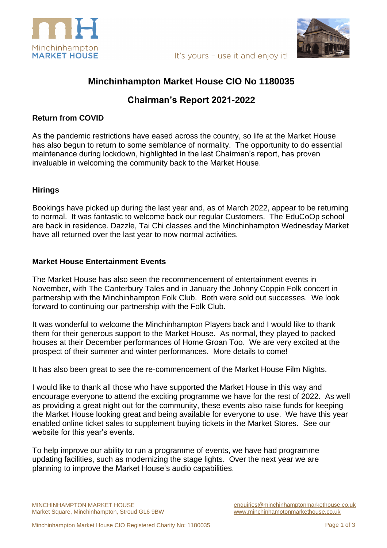





## **Minchinhampton Market House CIO No 1180035**

# **Chairman's Report 2021-2022**

#### **Return from COVID**

As the pandemic restrictions have eased across the country, so life at the Market House has also begun to return to some semblance of normality. The opportunity to do essential maintenance during lockdown, highlighted in the last Chairman's report, has proven invaluable in welcoming the community back to the Market House.

### **Hirings**

Bookings have picked up during the last year and, as of March 2022, appear to be returning to normal. It was fantastic to welcome back our regular Customers. The EduCoOp school are back in residence. Dazzle, Tai Chi classes and the Minchinhampton Wednesday Market have all returned over the last year to now normal activities.

### **Market House Entertainment Events**

The Market House has also seen the recommencement of entertainment events in November, with The Canterbury Tales and in January the Johnny Coppin Folk concert in partnership with the Minchinhampton Folk Club. Both were sold out successes. We look forward to continuing our partnership with the Folk Club.

It was wonderful to welcome the Minchinhampton Players back and I would like to thank them for their generous support to the Market House. As normal, they played to packed houses at their December performances of Home Groan Too. We are very excited at the prospect of their summer and winter performances. More details to come!

It has also been great to see the re-commencement of the Market House Film Nights.

I would like to thank all those who have supported the Market House in this way and encourage everyone to attend the exciting programme we have for the rest of 2022. As well as providing a great night out for the community, these events also raise funds for keeping the Market House looking great and being available for everyone to use. We have this year enabled online ticket sales to supplement buying tickets in the Market Stores. See our website for this year's events.

To help improve our ability to run a programme of events, we have had programme updating facilities, such as modernizing the stage lights. Over the next year we are planning to improve the Market House's audio capabilities.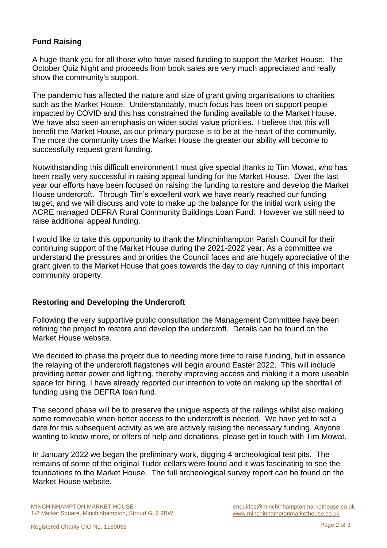## **Fund Raising**

A huge thank you for all those who have raised funding to support the Market House. The October Quiz Night and proceeds from book sales are very much appreciated and really show the community's support.

The pandemic has affected the nature and size of grant giving organisations to charities such as the Market House. Understandably, much focus has been on support people impacted by COVID and this has constrained the funding available to the Market House. We have also seen an emphasis on wider social value priorities. I believe that this will benefit the Market House, as our primary purpose is to be at the heart of the community. The more the community uses the Market House the greater our ability will become to successfully request grant funding.

Notwithstanding this difficult environment I must give special thanks to Tim Mowat, who has been really very successful in raising appeal funding for the Market House. Over the last year our efforts have been focused on raising the funding to restore and develop the Market House undercroft. Through Tim's excellent work we have nearly reached our funding target, and we will discuss and vote to make up the balance for the initial work using the ACRE managed DEFRA Rural Community Buildings Loan Fund. However we still need to raise additional appeal funding.

I would like to take this opportunity to thank the Minchinhampton Parish Council for their continuing support of the Market House during the 2021-2022 year. As a committee we understand the pressures and priorities the Council faces and are hugely appreciative of the grant given to the Market House that goes towards the day to day running of this important community property.

#### **Restoring and Developing the Undercroft**

Following the very supportive public consultation the Management Committee have been refining the project to restore and develop the undercroft. Details can be found on the Market House website.

We decided to phase the project due to needing more time to raise funding, but in essence the relaying of the undercroft flagstones will begin around Easter 2022. This will include providing better power and lighting, thereby improving access and making it a more useable space for hiring. I have already reported our intention to vote on making up the shortfall of funding using the DEFRA loan fund.

The second phase will be to preserve the unique aspects of the railings whilst also making some removeable when better access to the undercroft is needed. We have yet to set a date for this subsequent activity as we are actively raising the necessary funding. Anyone wanting to know more, or offers of help and donations, please get in touch with Tim Mowat.

In January 2022 we began the preliminary work, digging 4 archeological test pits. The remains of some of the original Tudor cellars were found and it was fascinating to see the foundations to the Market House. The full archeological survey report can be found on the Market House website.